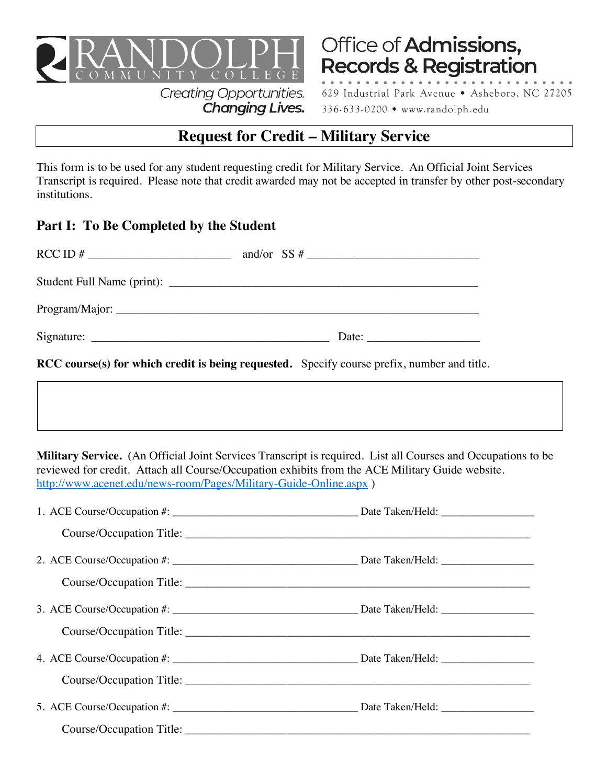

**Creating Opportunities.** Changing Lives.

Office of Admissions, **Records & Registration** 

629 Industrial Park Avenue . Asheboro, NC 27205 336-633-0200 • www.randolph.edu

# **Request for Credit – Military Service**

This form is to be used for any student requesting credit for Military Service. An Official Joint Services Transcript is required. Please note that credit awarded may not be accepted in transfer by other post-secondary institutions.

# **Part I: To Be Completed by the Student**

| <b>RCC</b> course(s) for which credit is being requested. Specify course prefix, number and title.                                                                   |                                                                                                              |
|----------------------------------------------------------------------------------------------------------------------------------------------------------------------|--------------------------------------------------------------------------------------------------------------|
|                                                                                                                                                                      |                                                                                                              |
| reviewed for credit. Attach all Course/Occupation exhibits from the ACE Military Guide website.<br>http://www.acenet.edu/news-room/Pages/Military-Guide-Online.aspx) | Military Service. (An Official Joint Services Transcript is required. List all Courses and Occupations to be |
|                                                                                                                                                                      |                                                                                                              |
|                                                                                                                                                                      |                                                                                                              |
|                                                                                                                                                                      |                                                                                                              |
|                                                                                                                                                                      |                                                                                                              |
|                                                                                                                                                                      |                                                                                                              |
|                                                                                                                                                                      |                                                                                                              |
|                                                                                                                                                                      |                                                                                                              |
|                                                                                                                                                                      |                                                                                                              |
|                                                                                                                                                                      |                                                                                                              |